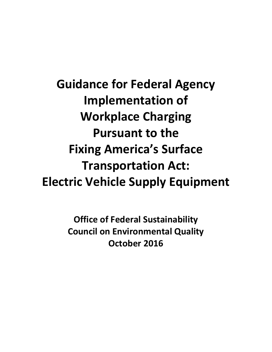**Guidance for Federal Agency Implementation of Workplace Charging Pursuant to the Fixing America's Surface Transportation Act: Electric Vehicle Supply Equipment**

> **Office of Federal Sustainability Council on Environmental Quality October 2016**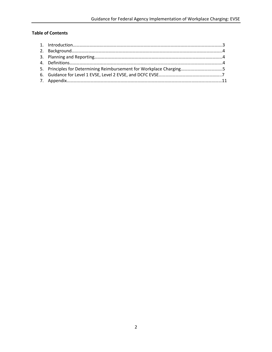## **Table of Contents**

| 5. Principles for Determining Reimbursement for Workplace Charging5 |  |
|---------------------------------------------------------------------|--|
|                                                                     |  |
|                                                                     |  |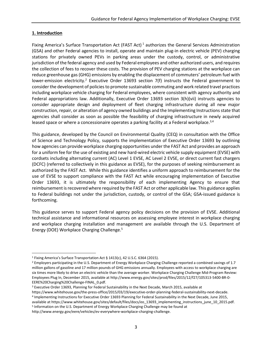### **1. Introduction**

 $\overline{a}$ 

Fixing America's Surface Transportation Act (FAST Act)<sup>1</sup> authorizes the General Services Administration (GSA) and other Federal agencies to install, operate and maintain plug-in electric vehicle (PEV) charging stations for privately owned PEVs in parking areas under the custody, control, or administrative jurisdiction of the federal agency and used by Federal employees and other authorized users, and requires the collection of fees to recover these costs. The provision of PEV charging stations at the workplace can reduce greenhouse gas (GHG) emissions by enabling the displacement of commuters' petroleum fuel with lower-emission electricity.<sup>2</sup> Executive Order 13693 section 7(f) instructs the Federal government to consider the development of policies to promote sustainable commuting and work related travel practices including workplace vehicle charging for Federal employees, where consistent with agency authority and Federal appropriations law. Additionally, Executive Order 13693 section 3(h)(vii) instructs agencies to consider appropriate design and deployment of fleet charging infrastructure during all new major construction, repair, or alteration of agency owned buildings and the Implementing Instructions state that agencies shall consider as soon as possible the feasibility of charging infrastructure in newly acquired leased space or where a concessionaire operates a parking facility at a Federal workplace.<sup>3,4</sup>

This guidance, developed by the Council on Environmental Quality (CEQ) in consultation with the Office of Science and Technology Policy, supports the implementation of Executive Order 13693 by outlining how agencies can provide workplace charging opportunities under the FAST Act and provides an approach for a uniform fee for the use of existing and new hard-wired electric vehicle supply equipment (EVSE) with cordsets including alternating current (AC) Level 1 EVSE, AC Level 2 EVSE, or direct current fast chargers (DCFC) (referred to collectively in this guidance as EVSE), for the purposes of seeking reimbursement as authorized by the FAST Act. While this guidance identifies a uniform approach to reimbursement for the use of EVSE to support compliance with the FAST Act while encouraging implementation of Executive Order 13693, it is ultimately the responsibility of each implementing Agency to ensure that reimbursement is recovered where required by the FAST Act or other applicable law. This guidance applies to Federal buildings not under the jurisdiction, custody, or control of the GSA; GSA-issued guidance is forthcoming.

This guidance serves to support Federal agency policy decisions on the provision of EVSE. Additional technical assistance and informational resources on assessing employee interest in workplace charging and workplace charging installation and management are available through the U.S. Department of Energy (DOE) Workplace Charging Challenge. 5

available at https://www.whitehouse.gov/sites/default/files/docs/eo\_13693\_implementing\_instructions\_june\_10\_2015.pdf. <sup>5</sup> Information on the U.S. Department of Energy Workplace Charging Challenge may be found at

http://www.energy.gov/eere/vehicles/ev-everywhere-workplace-charging-challenge.

<sup>1</sup> Fixing America's Surface Transportation Act § 1413(c), 42 U.S.C. 6364 (2015).

<sup>&</sup>lt;sup>2</sup> Employers participating in the U.S. Department of Energy Workplace Charging Challenge reported a combined savings of 1.7 million gallons of gasoline and 17 million pounds of GHG emissions annually. Employees with access to workplace charging are six times more likely to drive an electric vehicle than the average worker. Workplace Charging Challenge Mid-Program Review: Employees Plug In, December 2015, available at http://www.energy.gov/sites/prod/files/2015/12/f27/105313-5400-BR-0- EERE%20Charging%20Challenge-FINAL\_0.pdf.

<sup>3</sup> Executive Order 13693, Planning for Federal Sustainability in the Next Decade, March 2015, available at

https://www.whitehouse.gov/the-press-office/2015/03/19/executive-order-planning-federal-sustainability-next-decade. 4 Implementing Instructions for Executive Order 13693 Planning for Federal Sustainability in the Next Decade, June 2015,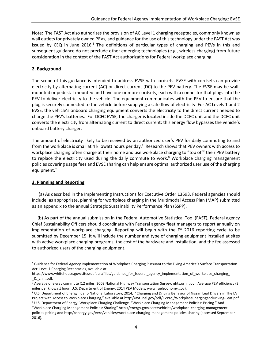Note: The FAST Act also authorizes the provision of AC Level 1 charging receptacles, commonly known as wall outlets for privately owned PEVs, and guidance for the use of this technology under the FAST Act was issued by CEQ in June 2016.<sup>6</sup> The definitions of particular types of charging and PEVs in this and subsequent guidance do not preclude other emerging technologies (e.g., wireless charging) from future consideration in the context of the FAST Act authorizations for Federal workplace charging.

### **2. Background**

The scope of this guidance is intended to address EVSE with cordsets. EVSE with cordsets can provide electricity by alternating current (AC) or direct current (DC) to the PEV battery. The EVSE may be wallmounted or pedestal-mounted and have one or more cordsets, each with a connector that plugs into the PEV to deliver electricity to the vehicle. The equipment communicates with the PEV to ensure that the plug is securely connected to the vehicle before supplying a safe flow of electricity. For AC Levels 1 and 2 EVSE, the vehicle's onboard charging equipment converts the electricity to the direct current needed to charge the PEV's batteries. For DCFC EVSE, the charger is located inside the DCFC unit and the DCFC unit converts the electricity from alternating current to direct current; this energy flow bypasses the vehicle's onboard battery charger.

The amount of electricity likely to be received by an authorized user's PEV for daily commuting to and from the workplace is small at 4 kilowatt hours per day.<sup>7</sup> Research shows that PEV owners with access to workplace charging often charge at their home and use workplace charging to "top off" their PEV battery to replace the electricity used during the daily commute to work. $8$  Workplace charging management policies covering usage fees and EVSE sharing can help ensure optimal authorized user use of the charging equipment. 9

#### **3. Planning and Reporting**

 $\overline{\phantom{a}}$ 

 (a) As described in the Implementing Instructions for Executive Order 13693, Federal agencies should include, as appropriate, planning for workplace charging in the Multimodal Access Plan (MAP) submitted as an appendix to the annual Strategic Sustainability Performance Plan (SSPP).

 (b) As part of the annual submission in the Federal Automotive Statistical Tool (FAST), Federal agency Chief Sustainability Officers should coordinate with Federal agency fleet managers to report annually on implementation of workplace charging. Reporting will begin with the FY 2016 reporting cycle to be submitted by December 15. It will include the number and type of charging equipment installed at sites with active workplace charging programs, the cost of the hardware and installation, and the fee assessed to authorized users of the charging equipment.

<sup>6</sup> Guidance for Federal Agency Implementation of Workplace Charging Pursuant to the Fixing America's Surface Transportation Act: Level 1 Charging Receptacles, available at

https://www.whitehouse.gov/sites/default/files/guidance\_for\_federal\_agency\_implementation\_of\_workplace\_charging\_- \_l1\_ch....pdf.

<sup>7</sup> Average one-way commute (12 miles, 2009 National Highway Transportation Survey, nhts.ornl.gov), Average PEV efficiency (3 miles per kilowatt hour, U.S. Department of Energy, 2014 PEV Models, www.fueleconomy.gov).

<sup>8</sup> U.S. Department of Energy, Idaho National Laboratory, 2014, "Charging and Driving Behavior of Nissan Leaf Drivers in The EV Project with Access to Workplace Charging," available at http://avt.inel.gov/pdf/EVProj/WorkplaceChargingandDriving-Leaf.pdf.

<sup>9</sup> U.S. Department of Energy, Workplace Charging Challenge. "Workplace Charging Management Policies: Pricing." And "Workplace Charging Management Policies: Sharing" http://energy.gov/eere/vehicles/workplace-charging-managementpolicies-pricing and http://energy.gov/eere/vehicles/workplace-charging-management-policies-sharing (accessed September 2016).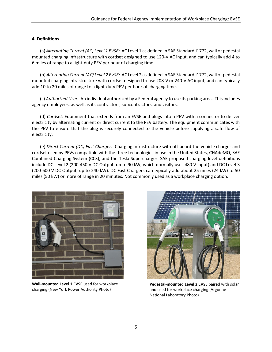### **4. Definitions**

(a) *Alternating Current (AC) Level 1 EVSE:* AC Level 1 as defined in SAE Standard J1772, wall or pedestal mounted charging infrastructure with cordset designed to use 120-V AC input, and can typically add 4 to 6 miles of range to a light-duty PEV per hour of charging time.

(b) *Alternating Current (AC) Level 2 EVSE:* AC Level 2 as defined in SAE Standard J1772, wall or pedestal mounted charging infrastructure with cordset designed to use 208-V or 240-V AC input, and can typically add 10 to 20 miles of range to a light-duty PEV per hour of charging time.

(c) *Authorized User*: An individual authorized by a Federal agency to use its parking area. This includes agency employees, as well as its contractors, subcontractors, and visitors.

(d) *Cordset*: Equipment that extends from an EVSE and plugs into a PEV with a connector to deliver electricity by alternating current or direct current to the PEV battery. The equipment communicates with the PEV to ensure that the plug is securely connected to the vehicle before supplying a safe flow of electricity.

(e) *Direct Current (DC) Fast Charger:* Charging infrastructure with off-board-the-vehicle charger and cordset used by PEVs compatible with the three technologies in use in the United States, CHAdeMO, SAE Combined Charging System (CCS), and the Tesla Supercharger. SAE proposed charging level definitions include DC Level 2 (200-450 V DC Output, up to 90 kW, which normally uses 480 V input) and DC Level 3 (200-600 V DC Output, up to 240 kW). DC Fast Chargers can typically add about 25 miles (24 kW) to 50 miles (50 kW) or more of range in 20 minutes. Not commonly used as a workplace charging option.



**Wall-mounted Level 1 EVSE** used for workplace charging (New York Power Authority Photo)



**Pedestal-mounted Level 2 EVSE** paired with solar and used for workplace charging (Argonne National Laboratory Photo)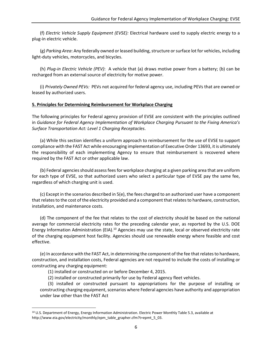(f) *Electric Vehicle Supply Equipment (EVSE):* Electrical hardware used to supply electric energy to a plug-in electric vehicle.

(g) *Parking Area*: Any federally owned or leased building, structure or surface lot for vehicles, including light-duty vehicles, motorcycles, and bicycles.

(h) *Plug-in Electric Vehicle (PEV)*: A vehicle that (a) draws motive power from a battery; (b) can be recharged from an external source of electricity for motive power.

(i) *Privately Owned PEVs:* PEVs not acquired for federal agency use, including PEVs that are owned or leased by authorized users.

#### **5. Principles for Determining Reimbursement for Workplace Charging**

The following principles for Federal agency provision of EVSE are consistent with the principles outlined in *Guidance for Federal Agency Implementation of Workplace Charging Pursuant to the Fixing America's Surface Transportation Act: Level 1 Charging Receptacles*.

(a) While this section identifies a uniform approach to reimbursement for the use of EVSE to support compliance with the FAST Act while encouraging implementation of Executive Order 13693, it is ultimately the responsibility of each implementing Agency to ensure that reimbursement is recovered where required by the FAST Act or other applicable law.

(b) Federal agencies should assess fees for workplace charging at a given parking area that are uniform for each type of EVSE, so that authorized users who select a particular type of EVSE pay the same fee, regardless of which charging unit is used.

(c) Except in the scenarios described in 5(e), the fees charged to an authorized user have a component that relates to the cost of the electricity provided and a component that relates to hardware, construction, installation, and maintenance costs.

(d) The component of the fee that relates to the cost of electricity should be based on the national average for commercial electricity rates for the preceding calendar year, as reported by the U.S. DOE Energy Information Administration (EIA).<sup>10</sup> Agencies may use the state, local or observed electricity rate of the charging equipment host facility. Agencies should use renewable energy where feasible and cost effective.

(e) In accordance with the FAST Act, in determining the component of the fee that relates to hardware, construction, and installation costs, Federal agencies are not required to include the costs of installing or constructing any charging equipment:

(1) installed or constructed on or before December 4, 2015.

 $\overline{\phantom{a}}$ 

(2) installed or constructed primarily for use by Federal agency fleet vehicles.

(3) installed or constructed pursuant to appropriations for the purpose of installing or constructing charging equipment, scenarios where Federal agencies have authority and appropriation under law other than the FAST Act

<sup>10</sup> U.S. Department of Energy, Energy Information Administration. Electric Power Monthly Table 5.3, available at http://www.eia.gov/electricity/monthly/epm\_table\_grapher.cfm?t=epmt\_5\_03.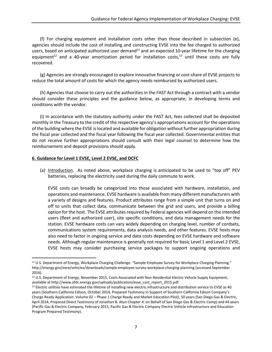(f) For charging equipment and installation costs other than those described in subsection (e), agencies should include the cost of installing and constructing EVSE into the fee charged to authorized users, based on anticipated authorized user demand<sup>11</sup> and an expected 10-year lifetime for the charging equipment<sup>12</sup> and a 40-year amortization period for installation costs,<sup>13</sup> until these costs are fully recovered.

(g) Agencies are strongly encouraged to explore innovative financing or cost-share of EVSE projects to reduce the total amount of costs for which the agency needs reimbursed by authorized users.

(h) Agencies that choose to carry out the authorities in the FAST Act through a contract with a vendor should consider these principles and the guidance below, as appropriate, in developing terms and conditions with the vendor.

(i) In accordance with the statutory authority under the FAST Act, fees collected shall be deposited monthly in the Treasury to the credit of the respective agency's appropriations account for the operations of the building where the EVSE is located and available for obligation without further appropriation during the fiscal year collected and the fiscal year following the fiscal year collected. Governmental entities that do not receive further appropriations should consult with their legal counsel to determine how the reimbursement and deposit provisions should apply.

### **6. Guidance for Level 1 EVSE, Level 2 EVSE, and DCFC**

 $\overline{a}$ 

(a) Introduction. As noted above, workplace charging is anticipated to be used to "top off" PEV batteries, replacing the electricity used during the daily commute to work.

EVSE costs can broadly be categorized into those associated with hardware, installation, and operations and maintenance. EVSE hardware is available from many different manufacturers with a variety of designs and features. Product attributes range from a simple unit that turns on and off to units that collect data, communicate between the grid and users, and provide a billing option for the host. The EVSE attributes required by Federal agencies will depend on the intended users (fleet and authorized user), site specific conditions, and data management needs for the station. EVSE hardware costs can vary widely depending on charging level, number of cordsets, communications system requirements, data analysis needs, and other features. EVSE hosts may also need to factor in ongoing service and data costs depending on EVSE hardware and software needs. Although regular maintenance is generally not required for basic Level 1 and Level 2 EVSE, EVSE hosts may consider purchasing service packages to support ongoing operations and

<sup>11</sup> U.S. Department of Energy, Workplace Charging Challenge. "Sample Employee Survey for Workplace Charging Planning." http://energy.gov/eere/vehicles/downloads/sample-employee-survey-workplace-charging-planning (accessed September 2016).

<sup>12</sup> U.S. Department of Energy, November 2015, Costs Associated with Non-Residential Electric Vehicle Supply Equipment, available at http://www.afdc.energy.gov/uploads/publication/evse\_cost\_report\_2015.pdf.

<sup>&</sup>lt;sup>13</sup> Electric utilities have estimated the lifetime of installing new electric infrastructure and distribution service to EVSE as 40 years (Southern California Edison, October 2014, Prepared Testimony in Support of Southern California Edison Company's Charge Ready Application: Volume 02 – Phase 1 Charge Ready and Market Education Pilot), 50 years (San Diego Gas & Electric, April 2014, Prepared Direct Testimony of Jonathan B. Atun Chapter 4: on Behalf of San Diego Gas & Electric Comp) and 44 years (Pacific Gas & Electric Company, February 2015, Pacific Gas & Electric Company Electric Vehicle Infrastructure and Education Program Prepared Testimony).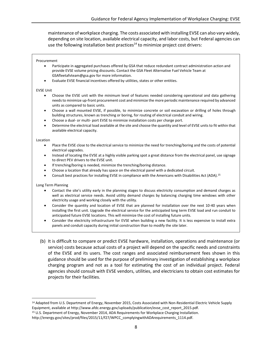maintenance of workplace charging. The costs associated with installing EVSE can also vary widely, depending on site location, available electrical capacity, and labor costs, but Federal agencies can use the following installation best practices<sup>14</sup> to minimize project cost drivers:

#### Procurement

- Participate in aggregated purchases offered by GSA that reduce redundant contract administration action and provide EVSE volume pricing discounts. Contact the GSA Fleet Alternative Fuel Vehicle Team at GSAfleetafvteam@gsa.gov for more information.
- Evaluate EVSE financial incentives offered by utilities, states or other entities.

#### EVSE Unit

- Choose the EVSE unit with the minimum level of features needed considering operational and data gathering needsto minimize up-front procurement cost and minimize the more periodic maintenance required by advanced units as compared to basic units.
- Choose a wall mounted EVSE, if possible, to minimize concrete or soil excavation or drilling of holes through building structures, known as trenching or boring, for routing of electrical conduit and wiring.
- Choose a dual- or multi- port EVSE to minimize installation costs per charge port.
- Determine the electrical load available at the site and choose the quantity and level of EVSE units to fit within that available electrical capacity.

#### Location

- Place the EVSE close to the electrical service to minimize the need for trenching/boring and the costs of potential electrical upgrades.
- Instead of locating the EVSE at a highly visible parking spot a great distance from the electrical panel, use signage to direct PEV drivers to the EVSE unit.
- If trenching/boring is needed, minimize the trenching/boring distance.
- Choose a location that already has space on the electrical panel with a dedicated circuit.
- Consult best practices for installing EVSE in compliance with the Americans with Disabilities Act (ADA).<sup>15</sup>

#### Long Term Planning

 $\overline{a}$ 

- Contact the site's utility early in the planning stages to discuss electricity consumption and demand charges as well as electrical service needs. Avoid utility demand charges by balancing charging time windows with other electricity usage and working closely with the utility.
- Consider the quantity and location of EVSE that are planned for installation over the next 10-40 years when installing the first unit. Upgrade the electrical service for the anticipated long term EVSE load and run conduit to anticipated future EVSE locations. This will minimize the cost of installing future units.
- Consider the electricity infrastructure for EVSE when building a new facility. It is less expensive to install extra panels and conduit capacity during initial construction than to modify the site later.
- (b) It is difficult to compare or predict EVSE hardware, installation, operations and maintenance (or service) costs because actual costs of a project will depend on the specific needs and constraints of the EVSE and its users. The cost ranges and associated reimbursement fees shown in this guidance should be used for the purpose of preliminary investigation of establishing a workplace charging program and not as a tool for estimating the cost of an individual project. Federal agencies should consult with EVSE vendors, utilities, and electricians to obtain cost estimates for projects for their facilities.

<sup>&</sup>lt;sup>14</sup> Adapted from U.S. Department of Energy, November 2015, Costs Associated with Non-Residential Electric Vehicle Supply Equipment, available at http://www.afdc.energy.gov/uploads/publication/evse\_cost\_report\_2015.pdf.

<sup>15</sup> U.S. Department of Energy, November 2014, ADA Requirements for Workplace Charging Installation.

http://energy.gov/sites/prod/files/2015/11/f27/WPCC\_complyingwithADArequirements\_1114.pdf.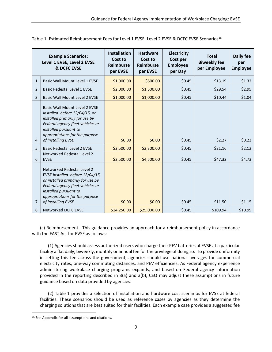|              | <b>Example Scenarios:</b><br>Level 1 EVSE, Level 2 EVSE<br>& DCFC EVSE                                                                                                                                                  | <b>Installation</b><br>Cost to<br><b>Reimburse</b><br>per EVSE | <b>Hardware</b><br>Cost to<br><b>Reimburse</b><br>per EVSE | <b>Electricity</b><br>Cost per<br><b>Employee</b><br>per Day | <b>Total</b><br><b>Biweekly fee</b><br>per Employee | <b>Daily fee</b><br>per<br><b>Employee</b> |
|--------------|-------------------------------------------------------------------------------------------------------------------------------------------------------------------------------------------------------------------------|----------------------------------------------------------------|------------------------------------------------------------|--------------------------------------------------------------|-----------------------------------------------------|--------------------------------------------|
| $\mathbf{1}$ | <b>Basic Wall Mount Level 1 EVSE</b>                                                                                                                                                                                    | \$1,000.00                                                     | \$500.00                                                   | \$0.45                                                       | \$13.19                                             | \$1.32                                     |
| 2            | <b>Basic Pedestal Level 1 EVSE</b>                                                                                                                                                                                      | \$2,000.00                                                     | \$1,500.00                                                 | \$0.45                                                       | \$29.54                                             | \$2.95                                     |
| 3            | <b>Basic Wall Mount Level 2 EVSE</b>                                                                                                                                                                                    | \$1,000.00                                                     | \$1,000.00                                                 | \$0.45                                                       | \$10.44                                             | \$1.04                                     |
| 4            | Basic Wall Mount Level 2 EVSE<br>installed before 12/04/15, or<br>installed primarily for use by<br>Federal agency fleet vehicles or<br>installed pursuant to<br>appropriations for the purpose<br>of installing EVSE   | \$0.00                                                         | \$0.00                                                     | \$0.45                                                       | \$2.27                                              | \$0.23\$                                   |
| 5            | <b>Basic Pedestal Level 2 EVSE</b>                                                                                                                                                                                      | \$2,500.00                                                     | \$2,300.00                                                 | \$0.45                                                       | \$21.16                                             | \$2.12                                     |
| 6            | <b>Networked Pedestal Level 2</b><br><b>EVSE</b>                                                                                                                                                                        | \$2,500.00                                                     | \$4,500.00                                                 | \$0.45                                                       | \$47.32                                             | \$4.73                                     |
| 7            | Networked Pedestal Level 2<br>EVSE installed before 12/04/15,<br>or installed primarily for use by<br>Federal agency fleet vehicles or<br>installed pursuant to<br>appropriations for the purpose<br>of installing EVSE | \$0.00                                                         | \$0.00                                                     | \$0.45                                                       | \$11.50                                             | \$1.15                                     |
| 8            | <b>Networked DCFC EVSE</b>                                                                                                                                                                                              | \$14,250.00                                                    | \$25,000.00                                                | \$0.45                                                       | \$109.94                                            | \$10.99                                    |

Table 1: Estimated Reimbursement Fees for Level 1 EVSE, Level 2 EVSE & DCFC EVSE Scenarios<sup>16</sup>

(c) Reimbursement. This guidance provides an approach for a reimbursement policy in accordance with the FAST Act for EVSE as follows:

(1) Agencies should assess authorized users who charge their PEV batteries at EVSE at a particular facility a flat daily, biweekly, monthly or annual fee for the privilege of doing so. To provide uniformity in setting this fee across the government, agencies should use national averages for commercial electricity rates, one-way commuting distances, and PEV efficiencies. As Federal agency experience administering workplace charging programs expands, and based on Federal agency information provided in the reporting described in 3(a) and 3(b), CEQ may adjust these assumptions in future guidance based on data provided by agencies.

(2) Table 1 provides a selection of installation and hardware cost scenarios for EVSE at federal facilities. These scenarios should be used as reference cases by agencies as they determine the charging solutions that are best suited for their facilities. Each example case provides a suggested fee

 $\overline{a}$ 

<sup>16</sup> See Appendix for all assumptions and citations.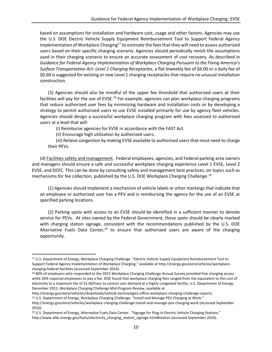based on assumptions for installation and hardware cost, usage and other factors. Agencies may use the U.S. DOE Electric Vehicle Supply Equipment Reimbursement Tool to Support Federal Agency Implementation of Workplace Charging<sup>17</sup> to estimate the fees that they will need to assess authorized users based on their specific charging scenario. Agencies should periodically revisit the assumptions used in their charging scenario to ensure an accurate assessment of cost recovery. As described in *Guidance for Federal Agency Implementation of Workplace Charging Pursuant to the Fixing America's Surface Transportation Act: Level 1 Charging Receptacles*, a flat biweekly fee of \$6.00 or a daily fee of \$0.60 is suggested for existing or new Level 1 charging receptacles that require no unusual installation construction.

(3) Agencies should also be mindful of the upper fee threshold that authorized users at their facilities will pay for the use of EVSE.<sup>18</sup> For example, agencies can plan workplace charging programs that reduce authorized user fees by minimizing hardware and installation costs or by developing a strategy to permit authorized users to use EVSE installed primarily for use by agency fleet vehicles. Agencies should design a successful workplace charging program with fees assessed to authorized users at a level that will:

(i) Reimburse agencies for EVSE in accordance with the FAST Act.

(ii) Encourage high utilization by authorized users.

l

(iii) Relieve congestion by making EVSE available to authorized users that most need to charge their PEVs.

(d) Facilities safety and management. Federal employees, agencies, and Federal parking area owners and managers should ensure a safe and successful workplace charging experience Level 1 EVSE, Level 2 EVSE, and DCFC. This can be done by consulting safety and management best practices, on topics such as mechanisms for fee collection, published by the U.S. DOE Workplace Charging Challenge.<sup>19</sup>

(1) Agencies should implement a mechanism of vehicle labels or other markings that indicate that an employee or authorized user has a PEV and is reimbursing the agency for the use of an EVSE at specified parking locations.

(2) Parking spots with access to an EVSE should be identified in a sufficient manner to denote service for PEVs. At sites owned by the Federal Government, these spots should be clearly marked with charging station signage, consistent with the recommendations published by the U.S. DOE Alternative Fuels Data Center,<sup>20</sup> to ensure that authorized users are aware of the charging opportunity.

<sup>17</sup> U.S. Department of Energy, Workplace Charging Challenge. "Electric Vehicle Supply Equipment Reimbursement Tool to Support Federal Agency Implementation of Workplace Charging," available at http://energy.gov/eere/vehicles/workplacecharging-federal-facilities (accessed September 2016).

<sup>18 80%</sup> of employers who responded to the 2015 Workplace Charging Challenge Annual Survey provided free charging access while 20% required employees to pay a fee. DOE found that workplace charging fees ranged from the equivalent to the cost of electricity to a maximum fee of \$1.00/hour to control user demand at a highly congested facility. U.S. Department of Energy, December 2015, Workplace Charging Challenge Mid-Program Review, available at

http://energy.gov/eere/vehicles/downloads/vehicle-technologies-office-workplace-charging-challenge-reports. <sup>19</sup> U.S. Department of Energy, Workplace Charging Challenge. "Install and Manage PEV Charging at Work."

http://energy.gov/eere/vehicles/workplace-charging-challenge-install-and-manage-pev-charging-work (accessed September 2016).

<sup>20</sup> U.S. Department of Energy, Alternative Fuels Data Center. "Signage for Plug-In Electric Vehicle Charging Stations." http://www.afdc.energy.gov/fuels/electricity\_charging\_station\_signage.html#station (accessed September 2016).